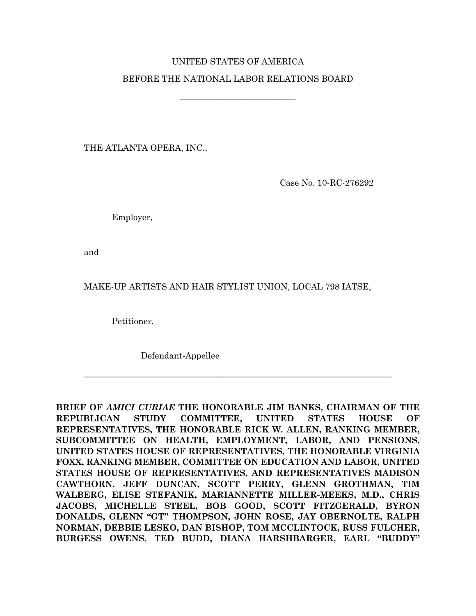## UNITED STATES OF AMERICA BEFORE THE NATIONAL LABOR RELATIONS BOARD

\_\_\_\_\_\_\_\_\_\_\_\_\_\_\_\_\_\_\_\_\_\_\_\_\_\_\_

THE ATLANTA OPERA, INC.,

Case No. 10-RC-276292

Employer,

and

MAKE-UP ARTISTS AND HAIR STYLIST UNION, LOCAL 798 IATSE,

Petitioner.

Defendant-Appellee

**BRIEF OF** *AMICI CURIAE* **THE HONORABLE JIM BANKS, CHAIRMAN OF THE REPUBLICAN STUDY COMMITTEE, UNITED STATES HOUSE OF REPRESENTATIVES, THE HONORABLE RICK W. ALLEN, RANKING MEMBER, SUBCOMMITTEE ON HEALTH, EMPLOYMENT, LABOR, AND PENSIONS, UNITED STATES HOUSE OF REPRESENTATIVES, THE HONORABLE VIRGINIA FOXX, RANKING MEMBER, COMMITTEE ON EDUCATION AND LABOR, UNITED STATES HOUSE OF REPRESENTATIVES, AND REPRESENTATIVES MADISON CAWTHORN, JEFF DUNCAN, SCOTT PERRY, GLENN GROTHMAN, TIM WALBERG, ELISE STEFANIK, MARIANNETTE MILLER-MEEKS, M.D., CHRIS JACOBS, MICHELLE STEEL, BOB GOOD, SCOTT FITZGERALD, BYRON DONALDS, GLENN "GT" THOMPSON, JOHN ROSE, JAY OBERNOLTE, RALPH NORMAN, DEBBIE LESKO, DAN BISHOP, TOM MCCLINTOCK, RUSS FULCHER, BURGESS OWENS, TED BUDD, DIANA HARSHBARGER, EARL "BUDDY"**

 $\_$  , and the set of the set of the set of the set of the set of the set of the set of the set of the set of the set of the set of the set of the set of the set of the set of the set of the set of the set of the set of th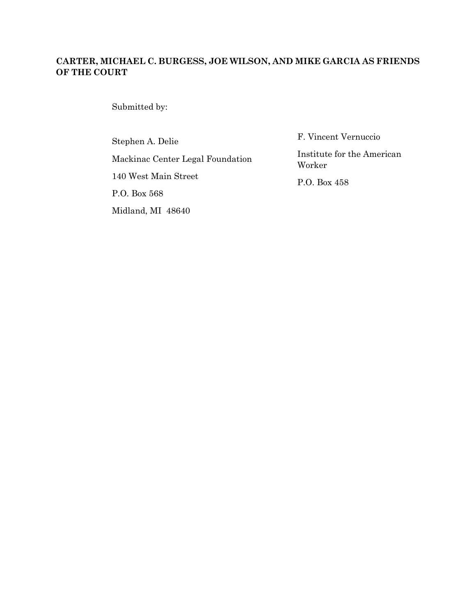### **CARTER, MICHAEL C. BURGESS, JOE WILSON, AND MIKE GARCIA AS FRIENDS OF THE COURT**

Submitted by:

Stephen A. Delie Mackinac Center Legal Foundation 140 West Main Street P.O. Box 568 Midland, MI 48640

F. Vincent Vernuccio Institute for the American Worker

P.O. Box 458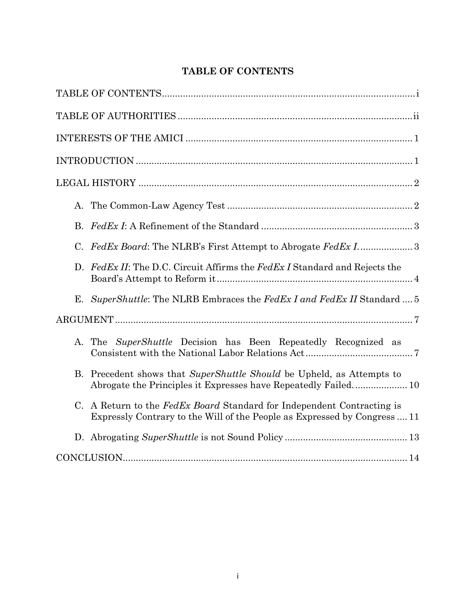## **TABLE OF CONTENTS**

<span id="page-2-0"></span>

| D. FedEx II: The D.C. Circuit Affirms the FedEx I Standard and Rejects the                                                                          |
|-----------------------------------------------------------------------------------------------------------------------------------------------------|
| SuperShuttle: The NLRB Embraces the FedEx I and FedEx II Standard  5<br>Е.                                                                          |
|                                                                                                                                                     |
| A. The SuperShuttle Decision has Been Repeatedly Recognized as                                                                                      |
| B. Precedent shows that SuperShuttle Should be Upheld, as Attempts to<br>Abrogate the Principles it Expresses have Repeatedly Failed 10             |
| C. A Return to the FedEx Board Standard for Independent Contracting is<br>Expressly Contrary to the Will of the People as Expressed by Congress  11 |
|                                                                                                                                                     |
|                                                                                                                                                     |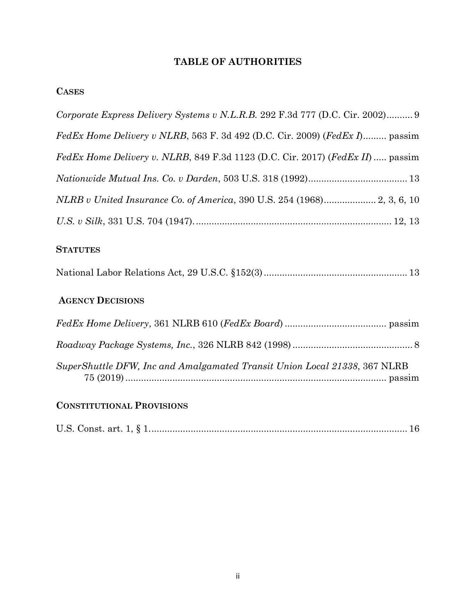### **TABLE OF AUTHORITIES**

### <span id="page-3-0"></span>**CASES**

| Corporate Express Delivery Systems v N.L.R.B. 292 F.3d 777 (D.C. Cir. 2002) 9 |
|-------------------------------------------------------------------------------|
| FedEx Home Delivery v NLRB, 563 F. 3d 492 (D.C. Cir. 2009) (FedEx I) passim   |
| FedEx Home Delivery v. NLRB, 849 F.3d 1123 (D.C. Cir. 2017) (FedEx II) passim |
|                                                                               |
|                                                                               |
|                                                                               |
| <b>STATUTES</b>                                                               |
|                                                                               |
| <b>AGENCY DECISIONS</b>                                                       |
|                                                                               |
|                                                                               |
| SuperShuttle DFW, Inc and Amalgamated Transit Union Local 21338, 367 NLRB     |

## **CONSTITUTIONAL PROVISIONS**

|--|--|--|--|--|--|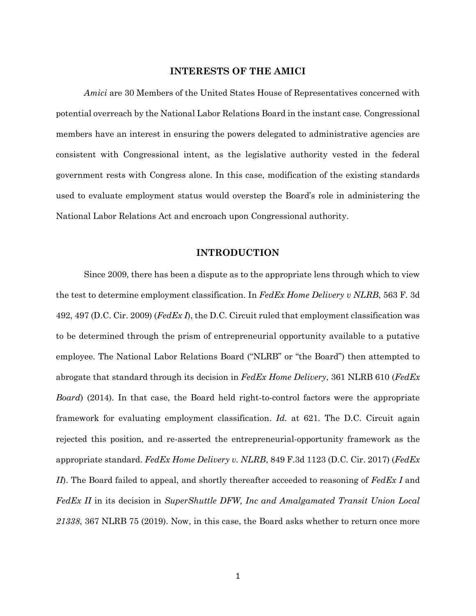#### **INTERESTS OF THE AMICI**

<span id="page-4-0"></span>*Amici* are 30 Members of the United States House of Representatives concerned with potential overreach by the National Labor Relations Board in the instant case. Congressional members have an interest in ensuring the powers delegated to administrative agencies are consistent with Congressional intent, as the legislative authority vested in the federal government rests with Congress alone. In this case, modification of the existing standards used to evaluate employment status would overstep the Board's role in administering the National Labor Relations Act and encroach upon Congressional authority.

#### **INTRODUCTION**

<span id="page-4-1"></span>Since 2009, there has been a dispute as to the appropriate lens through which to view the test to determine employment classification. In *FedEx Home Delivery v NLRB*, 563 F. 3d 492, 497 (D.C. Cir. 2009) (*FedEx I*), the D.C. Circuit ruled that employment classification was to be determined through the prism of entrepreneurial opportunity available to a putative employee. The National Labor Relations Board ("NLRB" or "the Board") then attempted to abrogate that standard through its decision in *FedEx Home Delivery*, 361 NLRB 610 (*FedEx Board*) (2014). In that case, the Board held right-to-control factors were the appropriate framework for evaluating employment classification. *Id.* at 621. The D.C. Circuit again rejected this position, and re-asserted the entrepreneurial-opportunity framework as the appropriate standard. *FedEx Home Delivery v. NLRB*, 849 F.3d 1123 (D.C. Cir. 2017) (*FedEx II*). The Board failed to appeal, and shortly thereafter acceeded to reasoning of *FedEx I* and *FedEx II* in its decision in *SuperShuttle DFW, Inc and Amalgamated Transit Union Local 21338*, 367 NLRB 75 (2019). Now, in this case, the Board asks whether to return once more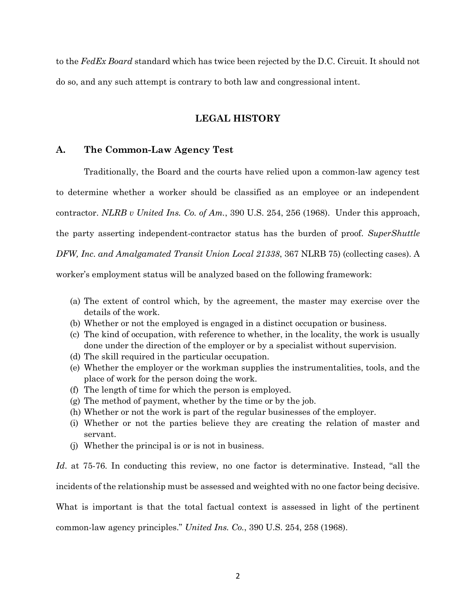to the *FedEx Board* standard which has twice been rejected by the D.C. Circuit. It should not do so, and any such attempt is contrary to both law and congressional intent.

#### **LEGAL HISTORY**

#### <span id="page-5-1"></span><span id="page-5-0"></span>**A. The Common-Law Agency Test**

Traditionally, the Board and the courts have relied upon a common-law agency test to determine whether a worker should be classified as an employee or an independent contractor. *NLRB v United Ins. Co. of Am.*, 390 U.S. 254, 256 (1968). Under this approach, the party asserting independent-contractor status has the burden of proof. *SuperShuttle DFW, Inc. and Amalgamated Transit Union Local 21338*, 367 NLRB 75) (collecting cases). A worker's employment status will be analyzed based on the following framework:

- (a) The extent of control which, by the agreement, the master may exercise over the details of the work.
- (b) Whether or not the employed is engaged in a distinct occupation or business.
- (c) The kind of occupation, with reference to whether, in the locality, the work is usually done under the direction of the employer or by a specialist without supervision.
- (d) The skill required in the particular occupation.
- (e) Whether the employer or the workman supplies the instrumentalities, tools, and the place of work for the person doing the work.
- (f) The length of time for which the person is employed.
- (g) The method of payment, whether by the time or by the job.
- (h) Whether or not the work is part of the regular businesses of the employer.
- (i) Whether or not the parties believe they are creating the relation of master and servant.
- (j) Whether the principal is or is not in business.

*Id*. at 75-76. In conducting this review, no one factor is determinative. Instead, "all the incidents of the relationship must be assessed and weighted with no one factor being decisive. What is important is that the total factual context is assessed in light of the pertinent common-law agency principles." *United Ins. Co.*, 390 U.S. 254, 258 (1968).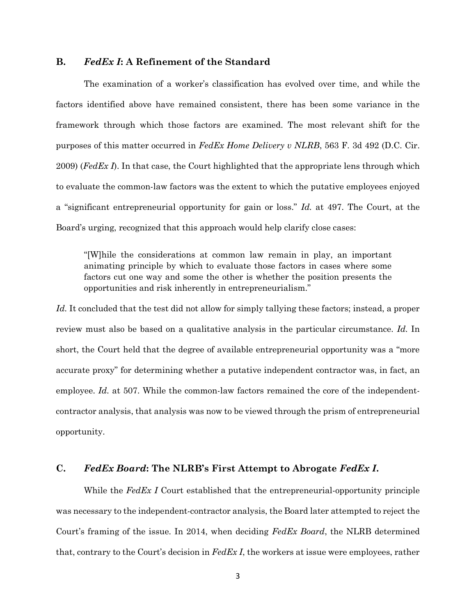#### <span id="page-6-0"></span>**B.** *FedEx I***: A Refinement of the Standard**

The examination of a worker's classification has evolved over time, and while the factors identified above have remained consistent, there has been some variance in the framework through which those factors are examined. The most relevant shift for the purposes of this matter occurred in *FedEx Home Delivery v NLRB*, 563 F. 3d 492 (D.C. Cir. 2009) (*FedEx I*). In that case, the Court highlighted that the appropriate lens through which to evaluate the common-law factors was the extent to which the putative employees enjoyed a "significant entrepreneurial opportunity for gain or loss." *Id.* at 497. The Court, at the Board's urging, recognized that this approach would help clarify close cases:

"[W]hile the considerations at common law remain in play, an important animating principle by which to evaluate those factors in cases where some factors cut one way and some the other is whether the position presents the opportunities and risk inherently in entrepreneurialism."

Id. It concluded that the test did not allow for simply tallying these factors; instead, a proper review must also be based on a qualitative analysis in the particular circumstance. *Id.* In short, the Court held that the degree of available entrepreneurial opportunity was a "more accurate proxy" for determining whether a putative independent contractor was, in fact, an employee. *Id.* at 507. While the common-law factors remained the core of the independentcontractor analysis, that analysis was now to be viewed through the prism of entrepreneurial opportunity.

#### <span id="page-6-1"></span>**C.** *FedEx Board***: The NLRB's First Attempt to Abrogate** *FedEx I***.**

While the *FedEx I* Court established that the entrepreneurial-opportunity principle was necessary to the independent-contractor analysis, the Board later attempted to reject the Court's framing of the issue. In 2014, when deciding *FedEx Board*, the NLRB determined that, contrary to the Court's decision in *FedEx I*, the workers at issue were employees, rather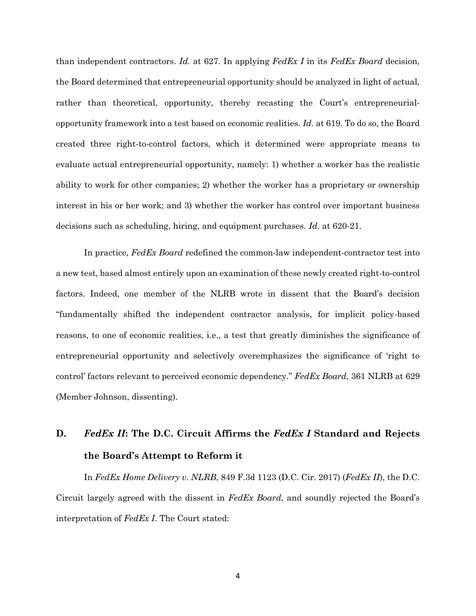than independent contractors. *Id.* at 627. In applying *FedEx I* in its *FedEx Board* decision, the Board determined that entrepreneurial opportunity should be analyzed in light of actual, rather than theoretical, opportunity, thereby recasting the Court's entrepreneurialopportunity framework into a test based on economic realities. *Id.* at 619. To do so, the Board created three right-to-control factors, which it determined were appropriate means to evaluate actual entrepreneurial opportunity, namely: 1) whether a worker has the realistic ability to work for other companies; 2) whether the worker has a proprietary or ownership interest in his or her work; and 3) whether the worker has control over important business decisions such as scheduling, hiring, and equipment purchases. *Id*. at 620-21.

In practice, *FedEx Board* redefined the common-law independent-contractor test into a new test, based almost entirely upon an examination of these newly created right-to-control factors. Indeed, one member of the NLRB wrote in dissent that the Board's decision "fundamentally shifted the independent contractor analysis, for implicit policy-based reasons, to one of economic realities, i.e., a test that greatly diminishes the significance of entrepreneurial opportunity and selectively overemphasizes the significance of 'right to control' factors relevant to perceived economic dependency." *FedEx Board*, 361 NLRB at 629 (Member Johnson, dissenting).

## <span id="page-7-0"></span>**D.** *FedEx II***: The D.C. Circuit Affirms the** *FedEx I* **Standard and Rejects the Board's Attempt to Reform it**

In *FedEx Home Delivery v. NLRB*, 849 F.3d 1123 (D.C. Cir. 2017) (*FedEx II*), the D.C. Circuit largely agreed with the dissent in *FedEx Board*, and soundly rejected the Board's interpretation of *FedEx I*. The Court stated: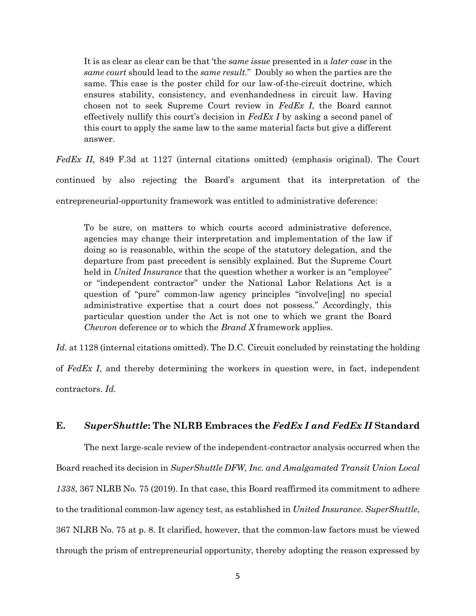It is as clear as clear can be that 'the *same issue* presented in a *later case* in the *same court* should lead to the *same result.*" Doubly so when the parties are the same. This case is the poster child for our law-of-the-circuit doctrine, which ensures stability, consistency, and evenhandedness in circuit law. Having chosen not to seek Supreme Court review in *FedEx I*, the Board cannot effectively nullify this court's decision in *FedEx I* by asking a second panel of this court to apply the same law to the same material facts but give a different answer.

*FedEx II*, 849 F.3d at 1127 (internal citations omitted) (emphasis original). The Court continued by also rejecting the Board's argument that its interpretation of the entrepreneurial-opportunity framework was entitled to administrative deference:

To be sure, on matters to which courts accord administrative deference, agencies may change their interpretation and implementation of the law if doing so is reasonable, within the scope of the statutory delegation, and the departure from past precedent is sensibly explained. But the Supreme Court held in *United Insurance* that the question whether a worker is an "employee" or "independent contractor" under the National Labor Relations Act is a question of "pure" common-law agency principles "involve[ing] no special administrative expertise that a court does not possess." Accordingly, this particular question under the Act is not one to which we grant the Board *Chevron* deference or to which the *Brand X* framework applies.

Id. at 1128 (internal citations omitted). The D.C. Circuit concluded by reinstating the holding of *FedEx I*, and thereby determining the workers in question were, in fact, independent contractors. *Id.*

#### <span id="page-8-0"></span>**E.** *SuperShuttle***: The NLRB Embraces the** *FedEx I and FedEx II* **Standard**

The next large-scale review of the independent-contractor analysis occurred when the Board reached its decision in *SuperShuttle DFW, Inc. and Amalgamated Transit Union Local 1338*, 367 NLRB No. 75 (2019). In that case, this Board reaffirmed its commitment to adhere to the traditional common-law agency test, as established in *United Insurance*. *SuperShuttle*, 367 NLRB No. 75 at p. 8. It clarified, however, that the common-law factors must be viewed through the prism of entrepreneurial opportunity, thereby adopting the reason expressed by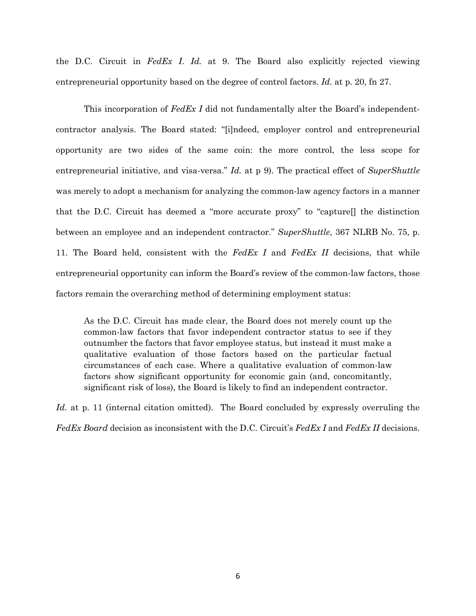the D.C. Circuit in *FedEx I*. *Id.* at 9. The Board also explicitly rejected viewing entrepreneurial opportunity based on the degree of control factors. *Id.* at p. 20, fn 27.

This incorporation of *FedEx I* did not fundamentally alter the Board's independentcontractor analysis. The Board stated: "[i]ndeed, employer control and entrepreneurial opportunity are two sides of the same coin: the more control, the less scope for entrepreneurial initiative, and visa-versa." *Id.* at p 9). The practical effect of *SuperShuttle*  was merely to adopt a mechanism for analyzing the common-law agency factors in a manner that the D.C. Circuit has deemed a "more accurate proxy" to "capture. The distinction between an employee and an independent contractor." *SuperShuttle*, 367 NLRB No. 75, p. 11. The Board held, consistent with the *FedEx I* and *FedEx II* decisions, that while entrepreneurial opportunity can inform the Board's review of the common-law factors, those factors remain the overarching method of determining employment status:

As the D.C. Circuit has made clear, the Board does not merely count up the common-law factors that favor independent contractor status to see if they outnumber the factors that favor employee status, but instead it must make a qualitative evaluation of those factors based on the particular factual circumstances of each case. Where a qualitative evaluation of common-law factors show significant opportunity for economic gain (and, concomitantly, significant risk of loss), the Board is likely to find an independent contractor.

*Id.* at p. 11 (internal citation omitted). The Board concluded by expressly overruling the *FedEx Board* decision as inconsistent with the D.C. Circuit's *FedEx I* and *FedEx II* decisions.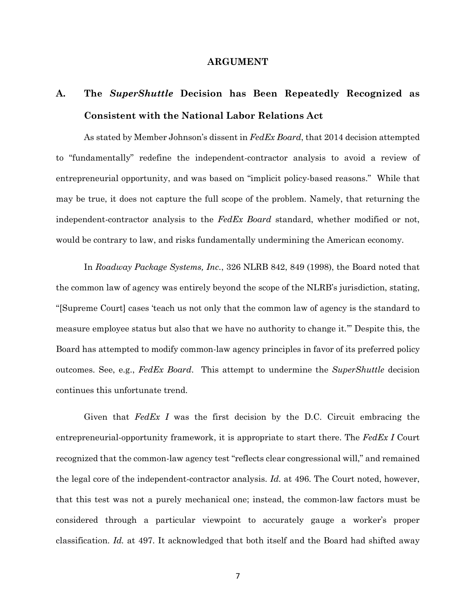#### **ARGUMENT**

## <span id="page-10-1"></span><span id="page-10-0"></span>**A. The** *SuperShuttle* **Decision has Been Repeatedly Recognized as Consistent with the National Labor Relations Act**

As stated by Member Johnson's dissent in *FedEx Board*, that 2014 decision attempted to "fundamentally" redefine the independent-contractor analysis to avoid a review of entrepreneurial opportunity, and was based on "implicit policy-based reasons." While that may be true, it does not capture the full scope of the problem. Namely, that returning the independent-contractor analysis to the *FedEx Board* standard, whether modified or not, would be contrary to law, and risks fundamentally undermining the American economy.

In *Roadway Package Systems, Inc.*, 326 NLRB 842, 849 (1998), the Board noted that the common law of agency was entirely beyond the scope of the NLRB's jurisdiction, stating, "[Supreme Court] cases 'teach us not only that the common law of agency is the standard to measure employee status but also that we have no authority to change it.'" Despite this, the Board has attempted to modify common-law agency principles in favor of its preferred policy outcomes. See, e.g., *FedEx Board*. This attempt to undermine the *SuperShuttle* decision continues this unfortunate trend.

Given that *FedEx I* was the first decision by the D.C. Circuit embracing the entrepreneurial-opportunity framework, it is appropriate to start there. The *FedEx I* Court recognized that the common-law agency test "reflects clear congressional will," and remained the legal core of the independent-contractor analysis. *Id.* at 496. The Court noted, however, that this test was not a purely mechanical one; instead, the common-law factors must be considered through a particular viewpoint to accurately gauge a worker's proper classification. *Id.* at 497. It acknowledged that both itself and the Board had shifted away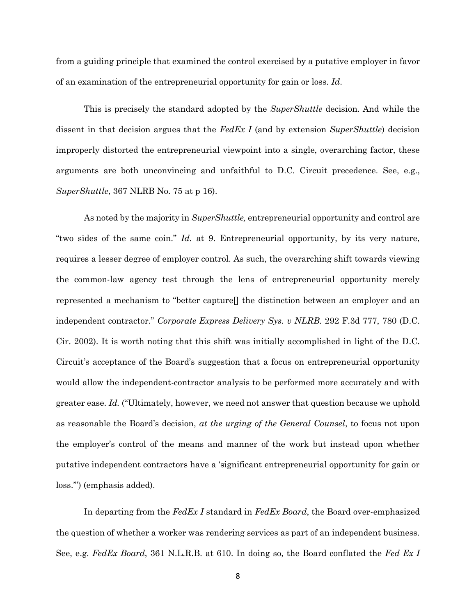from a guiding principle that examined the control exercised by a putative employer in favor of an examination of the entrepreneurial opportunity for gain or loss. *Id*.

This is precisely the standard adopted by the *SuperShuttle* decision. And while the dissent in that decision argues that the *FedEx I* (and by extension *SuperShuttle*) decision improperly distorted the entrepreneurial viewpoint into a single, overarching factor, these arguments are both unconvincing and unfaithful to D.C. Circuit precedence. See, e.g., *SuperShuttle*, 367 NLRB No. 75 at p 16).

As noted by the majority in *SuperShuttle,* entrepreneurial opportunity and control are "two sides of the same coin." *Id.* at 9. Entrepreneurial opportunity, by its very nature, requires a lesser degree of employer control. As such, the overarching shift towards viewing the common-law agency test through the lens of entrepreneurial opportunity merely represented a mechanism to "better capture[] the distinction between an employer and an independent contractor." *Corporate Express Delivery Sys. v NLRB.* 292 F.3d 777, 780 (D.C. Cir. 2002). It is worth noting that this shift was initially accomplished in light of the D.C. Circuit's acceptance of the Board's suggestion that a focus on entrepreneurial opportunity would allow the independent-contractor analysis to be performed more accurately and with greater ease. *Id.* ("Ultimately, however, we need not answer that question because we uphold as reasonable the Board's decision, *at the urging of the General Counsel*, to focus not upon the employer's control of the means and manner of the work but instead upon whether putative independent contractors have a 'significant entrepreneurial opportunity for gain or loss.'") (emphasis added).

In departing from the *FedEx I* standard in *FedEx Board*, the Board over-emphasized the question of whether a worker was rendering services as part of an independent business. See, e.g. *FedEx Board*, 361 N.L.R.B. at 610. In doing so, the Board conflated the *Fed Ex I*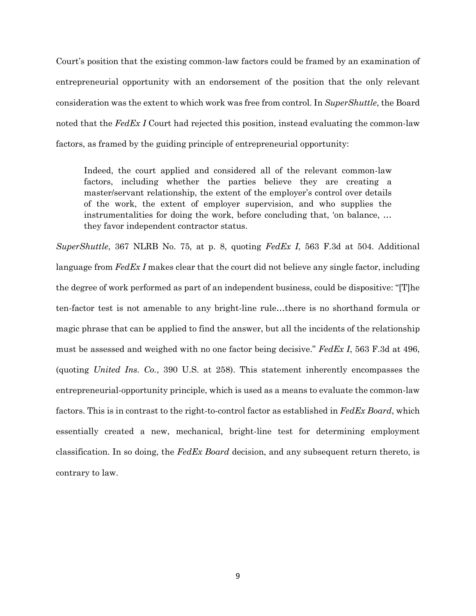Court's position that the existing common-law factors could be framed by an examination of entrepreneurial opportunity with an endorsement of the position that the only relevant consideration was the extent to which work was free from control. In *SuperShuttle*, the Board noted that the *FedEx I* Court had rejected this position, instead evaluating the common-law factors, as framed by the guiding principle of entrepreneurial opportunity:

Indeed, the court applied and considered all of the relevant common-law factors, including whether the parties believe they are creating a master/servant relationship, the extent of the employer's control over details of the work, the extent of employer supervision, and who supplies the instrumentalities for doing the work, before concluding that, 'on balance, … they favor independent contractor status.

*SuperShuttle*, 367 NLRB No. 75, at p. 8, quoting *FedEx I*, 563 F.3d at 504. Additional language from *FedEx I* makes clear that the court did not believe any single factor, including the degree of work performed as part of an independent business, could be dispositive: "[T]he ten-factor test is not amenable to any bright-line rule…there is no shorthand formula or magic phrase that can be applied to find the answer, but all the incidents of the relationship must be assessed and weighed with no one factor being decisive." *FedEx I*, 563 F.3d at 496, (quoting *United Ins. Co.*, 390 U.S. at 258). This statement inherently encompasses the entrepreneurial-opportunity principle, which is used as a means to evaluate the common-law factors. This is in contrast to the right-to-control factor as established in *FedEx Board*, which essentially created a new, mechanical, bright-line test for determining employment classification. In so doing, the *FedEx Board* decision, and any subsequent return thereto, is contrary to law.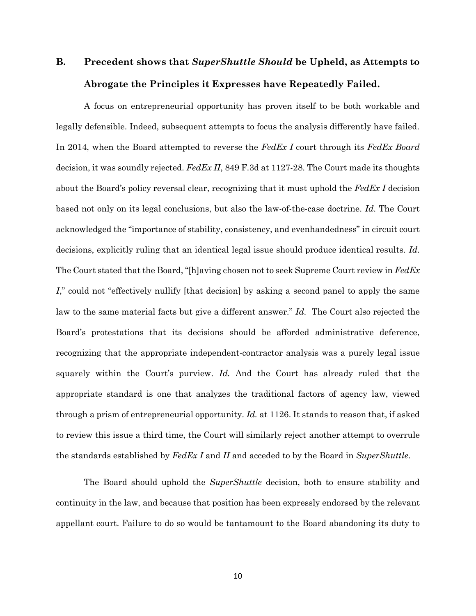## <span id="page-13-0"></span>**B. Precedent shows that** *SuperShuttle Should* **be Upheld, as Attempts to Abrogate the Principles it Expresses have Repeatedly Failed.**

A focus on entrepreneurial opportunity has proven itself to be both workable and legally defensible. Indeed, subsequent attempts to focus the analysis differently have failed. In 2014, when the Board attempted to reverse the *FedEx I* court through its *FedEx Board* decision, it was soundly rejected. *FedEx II*, 849 F.3d at 1127-28. The Court made its thoughts about the Board's policy reversal clear, recognizing that it must uphold the *FedEx I* decision based not only on its legal conclusions, but also the law-of-the-case doctrine. *Id*. The Court acknowledged the "importance of stability, consistency, and evenhandedness" in circuit court decisions, explicitly ruling that an identical legal issue should produce identical results. *Id*. The Court stated that the Board, "[h]aving chosen not to seek Supreme Court review in *FedEx I*," could not "effectively nullify [that decision] by asking a second panel to apply the same law to the same material facts but give a different answer." *Id.* The Court also rejected the Board's protestations that its decisions should be afforded administrative deference, recognizing that the appropriate independent-contractor analysis was a purely legal issue squarely within the Court's purview. *Id.* And the Court has already ruled that the appropriate standard is one that analyzes the traditional factors of agency law, viewed through a prism of entrepreneurial opportunity. *Id.* at 1126. It stands to reason that, if asked to review this issue a third time, the Court will similarly reject another attempt to overrule the standards established by *FedEx I* and *II* and acceded to by the Board in *SuperShuttle*.

The Board should uphold the *SuperShuttle* decision, both to ensure stability and continuity in the law, and because that position has been expressly endorsed by the relevant appellant court. Failure to do so would be tantamount to the Board abandoning its duty to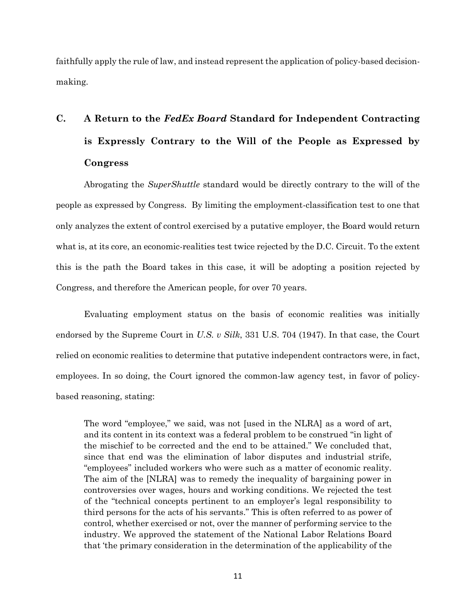faithfully apply the rule of law, and instead represent the application of policy-based decisionmaking.

# <span id="page-14-0"></span>**C. A Return to the** *FedEx Board* **Standard for Independent Contracting is Expressly Contrary to the Will of the People as Expressed by Congress**

Abrogating the *SuperShuttle* standard would be directly contrary to the will of the people as expressed by Congress. By limiting the employment-classification test to one that only analyzes the extent of control exercised by a putative employer, the Board would return what is, at its core, an economic-realities test twice rejected by the D.C. Circuit. To the extent this is the path the Board takes in this case, it will be adopting a position rejected by Congress, and therefore the American people, for over 70 years.

Evaluating employment status on the basis of economic realities was initially endorsed by the Supreme Court in *U.S. v Silk*, 331 U.S. 704 (1947). In that case, the Court relied on economic realities to determine that putative independent contractors were, in fact, employees. In so doing, the Court ignored the common-law agency test, in favor of policybased reasoning, stating:

The word "employee," we said, was not [used in the NLRA] as a word of art, and its content in its context was a federal problem to be construed "in light of the mischief to be corrected and the end to be attained." We concluded that, since that end was the elimination of labor disputes and industrial strife, "employees" included workers who were such as a matter of economic reality. The aim of the [NLRA] was to remedy the inequality of bargaining power in controversies over wages, hours and working conditions. We rejected the test of the "technical concepts pertinent to an employer's legal responsibility to third persons for the acts of his servants." This is often referred to as power of control, whether exercised or not, over the manner of performing service to the industry. We approved the statement of the National Labor Relations Board that 'the primary consideration in the determination of the applicability of the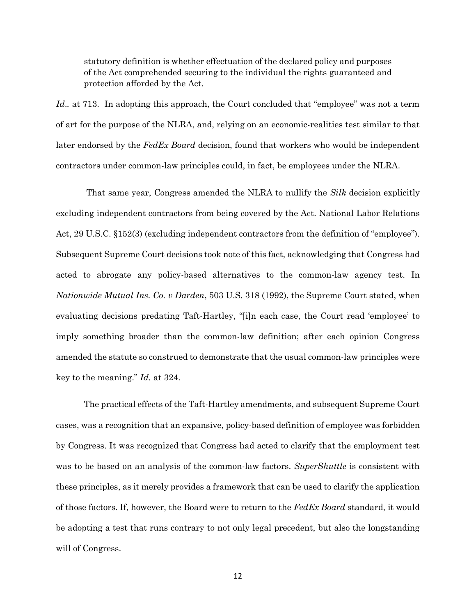statutory definition is whether effectuation of the declared policy and purposes of the Act comprehended securing to the individual the rights guaranteed and protection afforded by the Act.

Id.. at 713. In adopting this approach, the Court concluded that "employee" was not a term of art for the purpose of the NLRA, and, relying on an economic-realities test similar to that later endorsed by the *FedEx Board* decision, found that workers who would be independent contractors under common-law principles could, in fact, be employees under the NLRA.

That same year, Congress amended the NLRA to nullify the *Silk* decision explicitly excluding independent contractors from being covered by the Act. National Labor Relations Act, 29 U.S.C. §152(3) (excluding independent contractors from the definition of "employee"). Subsequent Supreme Court decisions took note of this fact, acknowledging that Congress had acted to abrogate any policy-based alternatives to the common-law agency test. In *Nationwide Mutual Ins. Co. v Darden*, 503 U.S. 318 (1992), the Supreme Court stated, when evaluating decisions predating Taft-Hartley, "[i]n each case, the Court read 'employee' to imply something broader than the common-law definition; after each opinion Congress amended the statute so construed to demonstrate that the usual common-law principles were key to the meaning." *Id.* at 324.

The practical effects of the Taft-Hartley amendments, and subsequent Supreme Court cases, was a recognition that an expansive, policy-based definition of employee was forbidden by Congress. It was recognized that Congress had acted to clarify that the employment test was to be based on an analysis of the common-law factors. *SuperShuttle* is consistent with these principles, as it merely provides a framework that can be used to clarify the application of those factors. If, however, the Board were to return to the *FedEx Board* standard, it would be adopting a test that runs contrary to not only legal precedent, but also the longstanding will of Congress.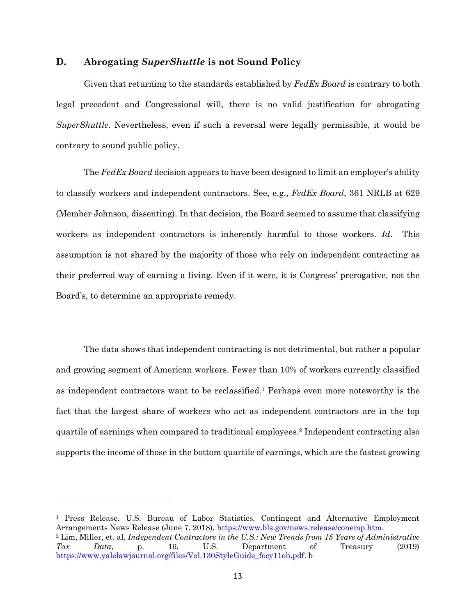#### <span id="page-16-0"></span>**D. Abrogating** *SuperShuttle* **is not Sound Policy**

Given that returning to the standards established by *FedEx Board* is contrary to both legal precedent and Congressional will, there is no valid justification for abrogating *SuperShuttle*. Nevertheless, even if such a reversal were legally permissible, it would be contrary to sound public policy.

The *FedEx Board* decision appears to have been designed to limit an employer's ability to classify workers and independent contractors. See, e.g., *FedEx Board*, 361 NRLB at 629 (Member Johnson, dissenting). In that decision, the Board seemed to assume that classifying workers as independent contractors is inherently harmful to those workers. *Id*. This assumption is not shared by the majority of those who rely on independent contracting as their preferred way of earning a living. Even if it were, it is Congress' prerogative, not the Board's, to determine an appropriate remedy.

The data shows that independent contracting is not detrimental, but rather a popular and growing segment of American workers. Fewer than 10% of workers currently classified as independent contractors want to be reclassified.<sup>1</sup> Perhaps even more noteworthy is the fact that the largest share of workers who act as independent contractors are in the top quartile of earnings when compared to traditional employees.<sup>2</sup> Independent contracting also supports the income of those in the bottom quartile of earnings, which are the fastest growing

<sup>1</sup> Press Release, U.S. Bureau of Labor Statistics, Contingent and Alternative Employment Arrangements News Release (June 7, 2018), [https://www.bls.gov/news.release/conemp.htm.](https://www.bls.gov/news.release/conemp.htm)

<sup>2</sup> Lim, Miller, et. al, *Independent Contractors in the U.S.: New Trends from 15 Years of Administrative Tax Data*, p. 16, U.S. Department of Treasury (2019) [https://www.yalelawjournal.org/files/Vol.130StyleGuide\\_focy11oh.pdf.](https://www.yalelawjournal.org/files/Vol.130StyleGuide_focy11oh.pdf) b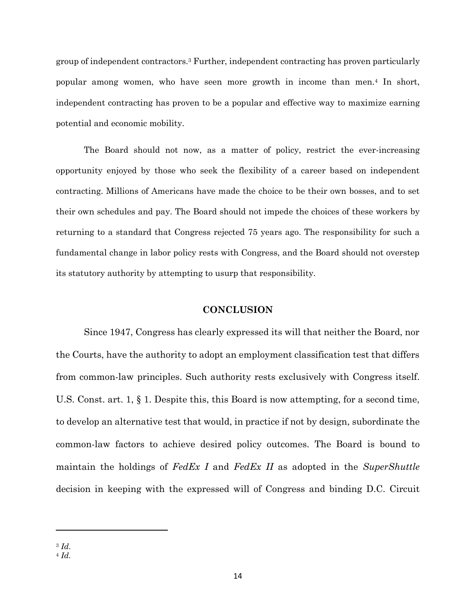group of independent contractors.<sup>3</sup> Further, independent contracting has proven particularly popular among women, who have seen more growth in income than men.<sup>4</sup> In short, independent contracting has proven to be a popular and effective way to maximize earning potential and economic mobility.

The Board should not now, as a matter of policy, restrict the ever-increasing opportunity enjoyed by those who seek the flexibility of a career based on independent contracting. Millions of Americans have made the choice to be their own bosses, and to set their own schedules and pay. The Board should not impede the choices of these workers by returning to a standard that Congress rejected 75 years ago. The responsibility for such a fundamental change in labor policy rests with Congress, and the Board should not overstep its statutory authority by attempting to usurp that responsibility.

#### **CONCLUSION**

<span id="page-17-0"></span>Since 1947, Congress has clearly expressed its will that neither the Board, nor the Courts, have the authority to adopt an employment classification test that differs from common-law principles. Such authority rests exclusively with Congress itself. U.S. Const. art. 1, § 1. Despite this, this Board is now attempting, for a second time, to develop an alternative test that would, in practice if not by design, subordinate the common-law factors to achieve desired policy outcomes. The Board is bound to maintain the holdings of *FedEx I* and *FedEx II* as adopted in the *SuperShuttle*  decision in keeping with the expressed will of Congress and binding D.C. Circuit

<sup>3</sup> *Id.*

<sup>4</sup> *Id.*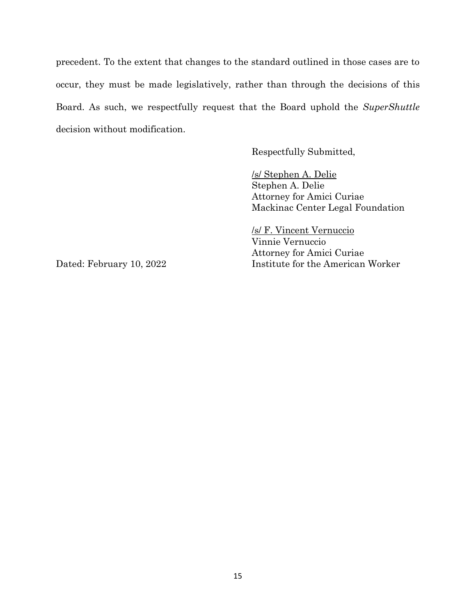precedent. To the extent that changes to the standard outlined in those cases are to occur, they must be made legislatively, rather than through the decisions of this Board. As such, we respectfully request that the Board uphold the *SuperShuttle*  decision without modification.

Respectfully Submitted,

/s/ Stephen A. Delie Stephen A. Delie Attorney for Amici Curiae Mackinac Center Legal Foundation

/s/ F. Vincent Vernuccio Vinnie Vernuccio Attorney for Amici Curiae Dated: February 10, 2022 Institute for the American Worker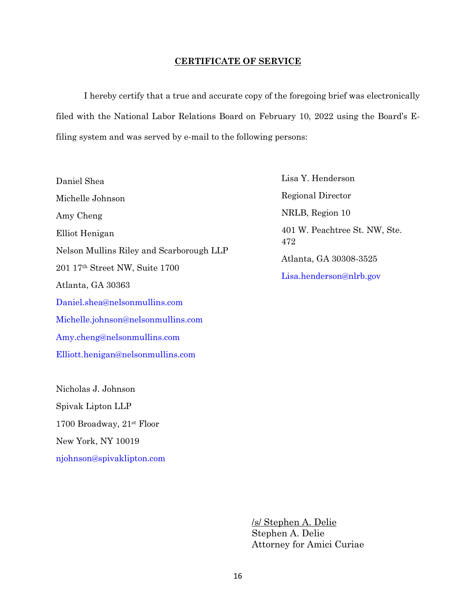#### **CERTIFICATE OF SERVICE**

I hereby certify that a true and accurate copy of the foregoing brief was electronically filed with the National Labor Relations Board on February 10, 2022 using the Board's Efiling system and was served by e-mail to the following persons:

Daniel Shea Michelle Johnson Amy Cheng Elliot Henigan Nelson Mullins Riley and Scarborough LLP 201 17th Street NW, Suite 1700 Atlanta, GA 30363 [Daniel.shea@nelsonmullins.com](mailto:Daniel.shea@nelsonmullins.com) [Michelle.johnson@nelsonmullins.com](mailto:Michelle.johnson@nelsonmullins.com) [Amy.cheng@nelsonmullins.com](mailto:Amy.cheng@nelsonmullins.com) [Elliott.henigan@nelsonmullins.com](mailto:Elliott.henigan@nelsonmullins.com)

Nicholas J. Johnson Spivak Lipton LLP 1700 Broadway, 21st Floor New York, NY 10019 [njohnson@spivaklipton.com](mailto:njohnson@spivaklipton.com) Lisa Y. Henderson Regional Director NRLB, Region 10 401 W. Peachtree St. NW, Ste. 472 Atlanta, GA 30308-3525 [Lisa.henderson@nlrb.gov](mailto:Lisa.henderson@nlrb.gov)

/s/ Stephen A. Delie Stephen A. Delie Attorney for Amici Curiae